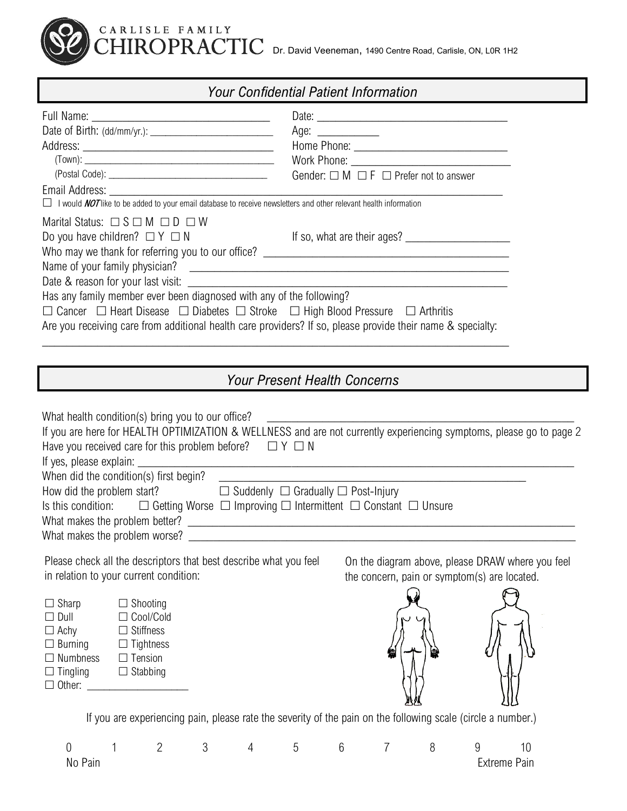

#### *Your Confidential Patient Information*

|                                                                                                                                                                                                                                                                                                                                                                  | Age: $\_\_$                                           |
|------------------------------------------------------------------------------------------------------------------------------------------------------------------------------------------------------------------------------------------------------------------------------------------------------------------------------------------------------------------|-------------------------------------------------------|
|                                                                                                                                                                                                                                                                                                                                                                  |                                                       |
|                                                                                                                                                                                                                                                                                                                                                                  |                                                       |
|                                                                                                                                                                                                                                                                                                                                                                  | Gender: $\Box$ M $\Box$ F $\Box$ Prefer not to answer |
| Email Address: No. 1996. The Contract of the Contract of the Contract of the Contract of the Contract of the Contract of the Contract of the Contract of the Contract of the Contract of the Contract of the Contract of the C<br>$\Box$ I would <i>NOT</i> like to be added to your email database to receive newsletters and other relevant health information |                                                       |
| Marital Status: $\Box$ S $\Box$ M $\Box$ D $\Box$ W                                                                                                                                                                                                                                                                                                              |                                                       |
| Do you have children? $\Box Y \Box N$                                                                                                                                                                                                                                                                                                                            |                                                       |
| Who may we thank for referring you to our office? ______________________________                                                                                                                                                                                                                                                                                 |                                                       |
|                                                                                                                                                                                                                                                                                                                                                                  |                                                       |
| Date & reason for your last visit:                                                                                                                                                                                                                                                                                                                               |                                                       |
| Has any family member ever been diagnosed with any of the following?                                                                                                                                                                                                                                                                                             |                                                       |
| $\Box$ Cancer $\Box$ Heart Disease $\Box$ Diabetes $\Box$ Stroke $\Box$ High Blood Pressure $\Box$ Arthritis                                                                                                                                                                                                                                                     |                                                       |
| Are you receiving care from additional health care providers? If so, please provide their name & specialty:                                                                                                                                                                                                                                                      |                                                       |

## *Your Present Health Concerns*

| What health condition(s) bring you to our office?                                                                         |                                                                                                              |   |                |   |                |                |   |                                              |                                                                                                                     |
|---------------------------------------------------------------------------------------------------------------------------|--------------------------------------------------------------------------------------------------------------|---|----------------|---|----------------|----------------|---|----------------------------------------------|---------------------------------------------------------------------------------------------------------------------|
|                                                                                                                           |                                                                                                              |   |                |   |                |                |   |                                              | If you are here for HEALTH OPTIMIZATION & WELLNESS and are not currently experiencing symptoms, please go to page 2 |
| Have you received care for this problem before? $\Box Y \Box N$                                                           |                                                                                                              |   |                |   |                |                |   |                                              |                                                                                                                     |
|                                                                                                                           |                                                                                                              |   |                |   |                |                |   |                                              |                                                                                                                     |
|                                                                                                                           |                                                                                                              |   |                |   |                |                |   |                                              |                                                                                                                     |
| How did the problem start? $\square$ Suddenly $\square$ Gradually $\square$ Post-Injury                                   |                                                                                                              |   |                |   |                |                |   |                                              |                                                                                                                     |
| Is this condition: $\square$ Getting Worse $\square$ Improving $\square$ Intermittent $\square$ Constant $\square$ Unsure |                                                                                                              |   |                |   |                |                |   |                                              |                                                                                                                     |
|                                                                                                                           |                                                                                                              |   |                |   |                |                |   |                                              |                                                                                                                     |
| What makes the problem worse?                                                                                             |                                                                                                              |   |                |   |                |                |   |                                              |                                                                                                                     |
| Please check all the descriptors that best describe what you feel<br>in relation to your current condition:               |                                                                                                              |   |                |   |                |                |   | the concern, pain or symptom(s) are located. | On the diagram above, please DRAW where you feel                                                                    |
| $\Box$ Sharp                                                                                                              | $\Box$ Shooting                                                                                              |   |                |   |                |                |   |                                              |                                                                                                                     |
| $\Box$ Dull                                                                                                               | $\Box$ Cool/Cold                                                                                             |   |                |   |                |                |   |                                              |                                                                                                                     |
| $\Box$ Achy                                                                                                               | $\Box$ Stiffness                                                                                             |   |                |   |                |                |   |                                              |                                                                                                                     |
| $\Box$ Burning                                                                                                            | $\Box$ Tightness                                                                                             |   |                |   |                |                |   |                                              |                                                                                                                     |
| $\Box$ Numbness                                                                                                           | $\Box$ Tension                                                                                               |   |                |   |                |                |   |                                              |                                                                                                                     |
| $\Box$ Tingling<br>$\Box$ Other:                                                                                          | $\Box$ Stabbing                                                                                              |   |                |   |                |                |   |                                              |                                                                                                                     |
|                                                                                                                           |                                                                                                              |   |                |   |                |                |   |                                              |                                                                                                                     |
|                                                                                                                           |                                                                                                              |   |                |   |                |                |   |                                              |                                                                                                                     |
|                                                                                                                           | If you are experiencing pain, please rate the severity of the pain on the following scale (circle a number.) |   |                |   |                |                |   |                                              |                                                                                                                     |
| $\theta$                                                                                                                  | $\overline{2}$                                                                                               | 3 | $\overline{4}$ | 5 | $6\phantom{.}$ | $\overline{7}$ | 8 | 9                                            | 10                                                                                                                  |
| No Pain                                                                                                                   |                                                                                                              |   |                |   |                |                |   |                                              | <b>Extreme Pain</b>                                                                                                 |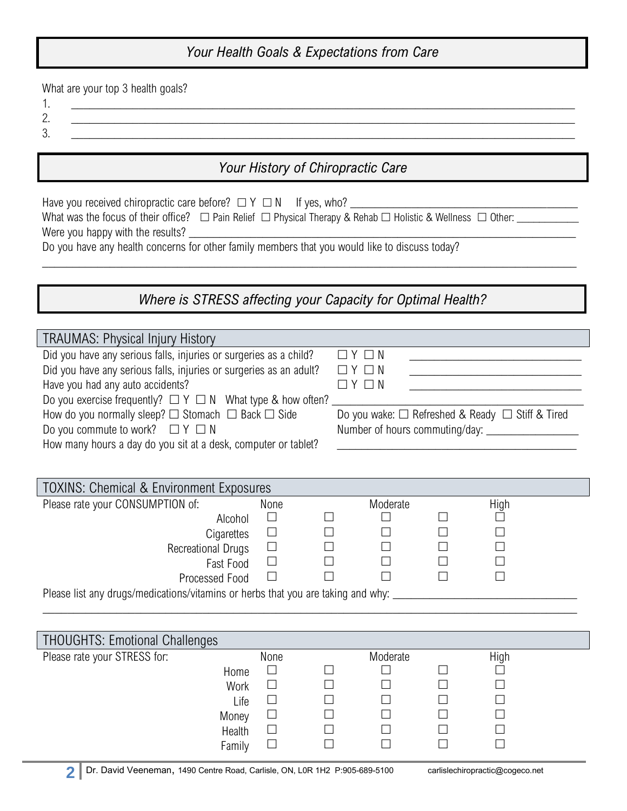## *Your Health Goals & Expectations from Care*

What are your top 3 health goals?

- 1. \_\_\_\_\_\_\_\_\_\_\_\_\_\_\_\_\_\_\_\_\_\_\_\_\_\_\_\_\_\_\_\_\_\_\_\_\_\_\_\_\_\_\_\_\_\_\_\_\_\_\_\_\_\_\_\_\_\_\_\_\_\_\_\_\_\_\_\_\_\_\_\_\_\_\_\_\_\_\_\_\_\_
- 2.  $\blacksquare$ 3. \_\_\_\_\_\_\_\_\_\_\_\_\_\_\_\_\_\_\_\_\_\_\_\_\_\_\_\_\_\_\_\_\_\_\_\_\_\_\_\_\_\_\_\_\_\_\_\_\_\_\_\_\_\_\_\_\_\_\_\_\_\_\_\_\_\_\_\_\_\_\_\_\_\_\_\_\_\_\_\_\_\_

### *Your History of Chiropractic Care*

| Have you received chiropractic care before? $\Box Y \Box N$ If yes, who?<br>Do you have any health concerns for other family members that you would like to discuss today?                                                                                                |                                                                                                 |                    |        |                |  |
|---------------------------------------------------------------------------------------------------------------------------------------------------------------------------------------------------------------------------------------------------------------------------|-------------------------------------------------------------------------------------------------|--------------------|--------|----------------|--|
| Where is STRESS affecting your Capacity for Optimal Health?                                                                                                                                                                                                               |                                                                                                 |                    |        |                |  |
| TRAUMAS: Physical Injury History<br>Did you have any serious falls, injuries or surgeries as a child?<br>$\Box$ $Y$ $\Box$ $N$                                                                                                                                            |                                                                                                 |                    |        |                |  |
| Did you have any serious falls, injuries or surgeries as an adult?<br>$\Box$ $Y$ $\Box$ $N$<br>Have you had any auto accidents?<br>$\Box$ $Y$ $\Box$ $N$<br><u> 1980 - Johann Barbara, martin a</u><br>Do you exercise frequently? $\Box Y \Box N$ What type & how often? |                                                                                                 |                    |        |                |  |
| How do you normally sleep? $\Box$ Stomach $\Box$ Back $\Box$ Side<br>Do you wake: □ Refreshed & Ready □ Stiff & Tired<br>Do you commute to work? $\Box Y \Box N$<br>How many hours a day do you sit at a desk, computer or tablet?                                        |                                                                                                 |                    |        |                |  |
| TOXINS: Chemical & Environment Exposures                                                                                                                                                                                                                                  |                                                                                                 |                    |        |                |  |
| Please rate your CONSUMPTION of:<br>Alcohol<br>Cigarettes<br><b>Recreational Drugs</b><br>Fast Food<br>Processed Food<br>Please list any drugs/medications/vitamins or herbs that you are taking and why:                                                                 | None<br>$\Box$<br>$\Box$<br>$\Box$<br>$\Box$<br>$\Box$                                          | Moderate           |        | High           |  |
|                                                                                                                                                                                                                                                                           |                                                                                                 |                    |        |                |  |
| <b>THOUGHTS: Emotional Challenges</b>                                                                                                                                                                                                                                     |                                                                                                 |                    |        |                |  |
| Please rate your STRESS for:<br>Home<br>Work<br>Life<br>Money<br>Health<br>Family                                                                                                                                                                                         | None<br>$\mathcal{L}_{\mathcal{A}}$<br>$\Box$<br>$\Box$<br>$\Box$<br>$\Box$<br>$\Box$<br>$\Box$ | Moderate<br>$\Box$ | $\Box$ | High<br>$\Box$ |  |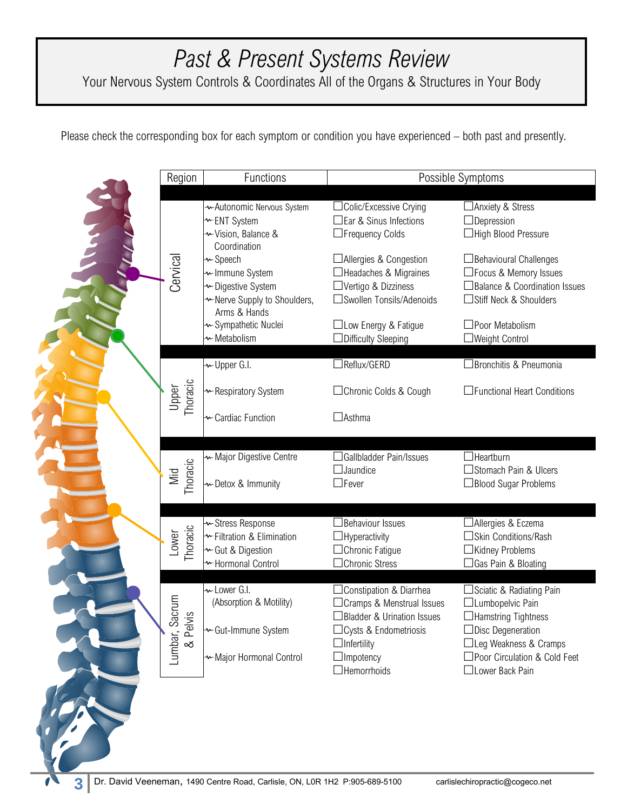# *Past & Present Systems Review*

Your Nervous System Controls & Coordinates All of the Organs & Structures in Your Body

Please check the corresponding box for each symptom or condition you have experienced – both past and presently.